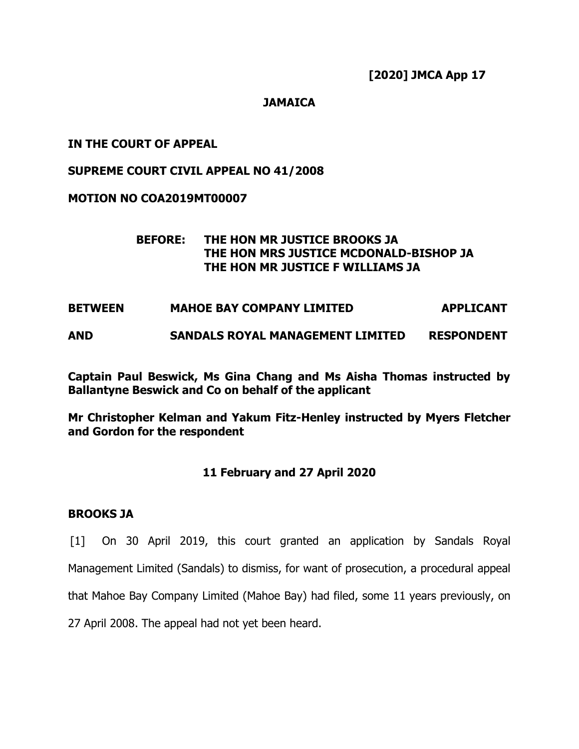**[2020] JMCA App 17**

# **JAMAICA**

# **IN THE COURT OF APPEAL**

# **SUPREME COURT CIVIL APPEAL NO 41/2008**

# **MOTION NO COA2019MT00007**

# **BEFORE: THE HON MR JUSTICE BROOKS JA THE HON MRS JUSTICE MCDONALD-BISHOP JA THE HON MR JUSTICE F WILLIAMS JA**

# **BETWEEN MAHOE BAY COMPANY LIMITED APPLICANT**

# **AND SANDALS ROYAL MANAGEMENT LIMITED RESPONDENT**

**Captain Paul Beswick, Ms Gina Chang and Ms Aisha Thomas instructed by Ballantyne Beswick and Co on behalf of the applicant**

**Mr Christopher Kelman and Yakum Fitz-Henley instructed by Myers Fletcher and Gordon for the respondent**

# **11 February and 27 April 2020**

#### **BROOKS JA**

[1] On 30 April 2019, this court granted an application by Sandals Royal Management Limited (Sandals) to dismiss, for want of prosecution, a procedural appeal that Mahoe Bay Company Limited (Mahoe Bay) had filed, some 11 years previously, on 27 April 2008. The appeal had not yet been heard.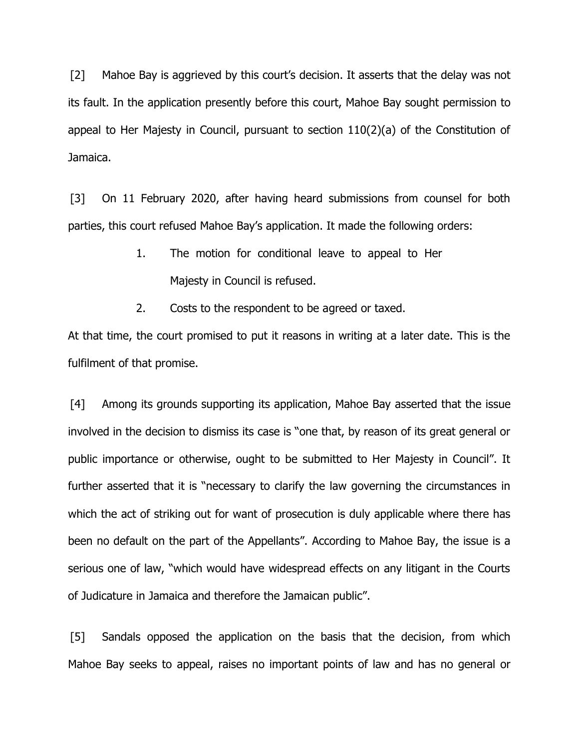[2] Mahoe Bay is aggrieved by this court's decision. It asserts that the delay was not its fault. In the application presently before this court, Mahoe Bay sought permission to appeal to Her Majesty in Council, pursuant to section 110(2)(a) of the Constitution of Jamaica.

[3] On 11 February 2020, after having heard submissions from counsel for both parties, this court refused Mahoe Bay's application. It made the following orders:

- 1. The motion for conditional leave to appeal to Her Majesty in Council is refused.
- 2. Costs to the respondent to be agreed or taxed.

At that time, the court promised to put it reasons in writing at a later date. This is the fulfilment of that promise.

[4] Among its grounds supporting its application, Mahoe Bay asserted that the issue involved in the decision to dismiss its case is "one that, by reason of its great general or public importance or otherwise, ought to be submitted to Her Majesty in Council". It further asserted that it is "necessary to clarify the law governing the circumstances in which the act of striking out for want of prosecution is duly applicable where there has been no default on the part of the Appellants". According to Mahoe Bay, the issue is a serious one of law, "which would have widespread effects on any litigant in the Courts of Judicature in Jamaica and therefore the Jamaican public".

[5] Sandals opposed the application on the basis that the decision, from which Mahoe Bay seeks to appeal, raises no important points of law and has no general or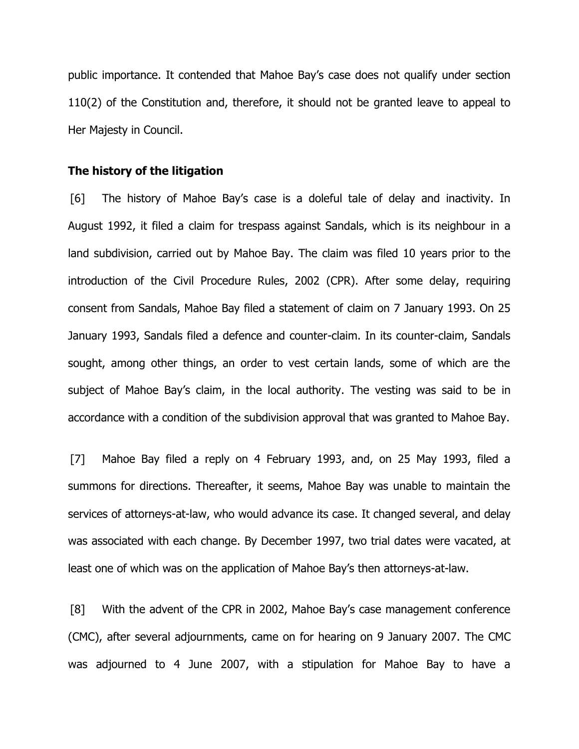public importance. It contended that Mahoe Bay's case does not qualify under section 110(2) of the Constitution and, therefore, it should not be granted leave to appeal to Her Majesty in Council.

#### **The history of the litigation**

[6] The history of Mahoe Bay's case is a doleful tale of delay and inactivity. In August 1992, it filed a claim for trespass against Sandals, which is its neighbour in a land subdivision, carried out by Mahoe Bay. The claim was filed 10 years prior to the introduction of the Civil Procedure Rules, 2002 (CPR). After some delay, requiring consent from Sandals, Mahoe Bay filed a statement of claim on 7 January 1993. On 25 January 1993, Sandals filed a defence and counter-claim. In its counter-claim, Sandals sought, among other things, an order to vest certain lands, some of which are the subject of Mahoe Bay's claim, in the local authority. The vesting was said to be in accordance with a condition of the subdivision approval that was granted to Mahoe Bay.

[7] Mahoe Bay filed a reply on 4 February 1993, and, on 25 May 1993, filed a summons for directions. Thereafter, it seems, Mahoe Bay was unable to maintain the services of attorneys-at-law, who would advance its case. It changed several, and delay was associated with each change. By December 1997, two trial dates were vacated, at least one of which was on the application of Mahoe Bay's then attorneys-at-law.

[8] With the advent of the CPR in 2002, Mahoe Bay's case management conference (CMC), after several adjournments, came on for hearing on 9 January 2007. The CMC was adjourned to 4 June 2007, with a stipulation for Mahoe Bay to have a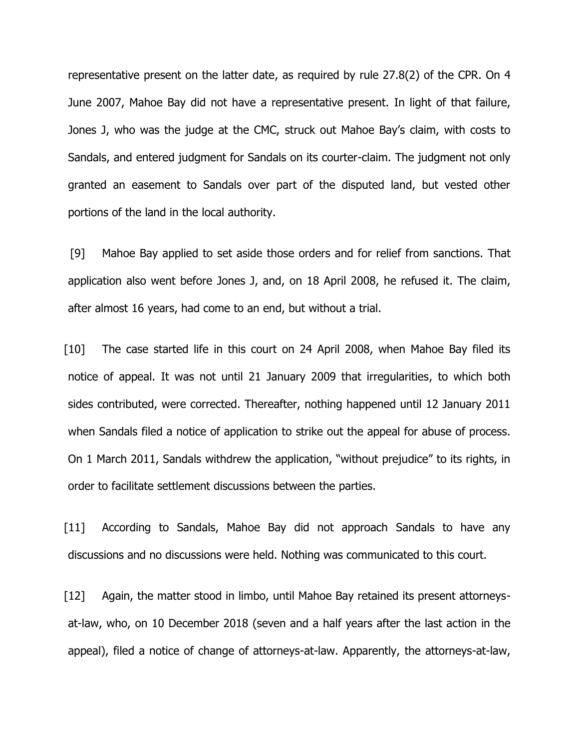representative present on the latter date, as required by rule 27.8(2) of the CPR. On 4 June 2007, Mahoe Bay did not have a representative present. In light of that failure, Jones J, who was the judge at the CMC, struck out Mahoe Bay's claim, with costs to Sandals, and entered judgment for Sandals on its courter-claim. The judgment not only granted an easement to Sandals over part of the disputed land, but vested other portions of the land in the local authority.

[9] Mahoe Bay applied to set aside those orders and for relief from sanctions. That application also went before Jones J, and, on 18 April 2008, he refused it. The claim, after almost 16 years, had come to an end, but without a trial.

[10] The case started life in this court on 24 April 2008, when Mahoe Bay filed its notice of appeal. It was not until 21 January 2009 that irregularities, to which both sides contributed, were corrected. Thereafter, nothing happened until 12 January 2011 when Sandals filed a notice of application to strike out the appeal for abuse of process. On 1 March 2011, Sandals withdrew the application, "without prejudice" to its rights, in order to facilitate settlement discussions between the parties.

[11] According to Sandals, Mahoe Bay did not approach Sandals to have any discussions and no discussions were held. Nothing was communicated to this court.

[12] Again, the matter stood in limbo, until Mahoe Bay retained its present attorneysat-law, who, on 10 December 2018 (seven and a half years after the last action in the appeal), filed a notice of change of attorneys-at-law. Apparently, the attorneys-at-law,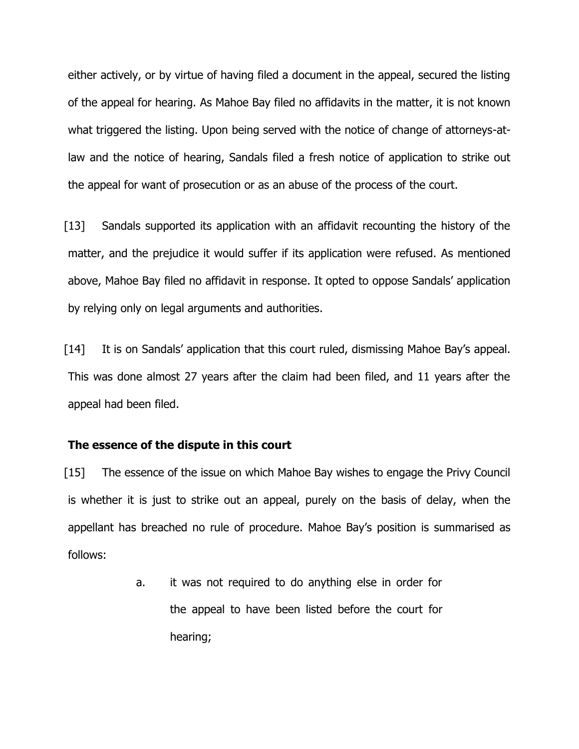either actively, or by virtue of having filed a document in the appeal, secured the listing of the appeal for hearing. As Mahoe Bay filed no affidavits in the matter, it is not known what triggered the listing. Upon being served with the notice of change of attorneys-atlaw and the notice of hearing, Sandals filed a fresh notice of application to strike out the appeal for want of prosecution or as an abuse of the process of the court.

[13] Sandals supported its application with an affidavit recounting the history of the matter, and the prejudice it would suffer if its application were refused. As mentioned above, Mahoe Bay filed no affidavit in response. It opted to oppose Sandals' application by relying only on legal arguments and authorities.

[14] It is on Sandals' application that this court ruled, dismissing Mahoe Bay's appeal. This was done almost 27 years after the claim had been filed, and 11 years after the appeal had been filed.

#### **The essence of the dispute in this court**

[15] The essence of the issue on which Mahoe Bay wishes to engage the Privy Council is whether it is just to strike out an appeal, purely on the basis of delay, when the appellant has breached no rule of procedure. Mahoe Bay's position is summarised as follows:

> a. it was not required to do anything else in order for the appeal to have been listed before the court for hearing;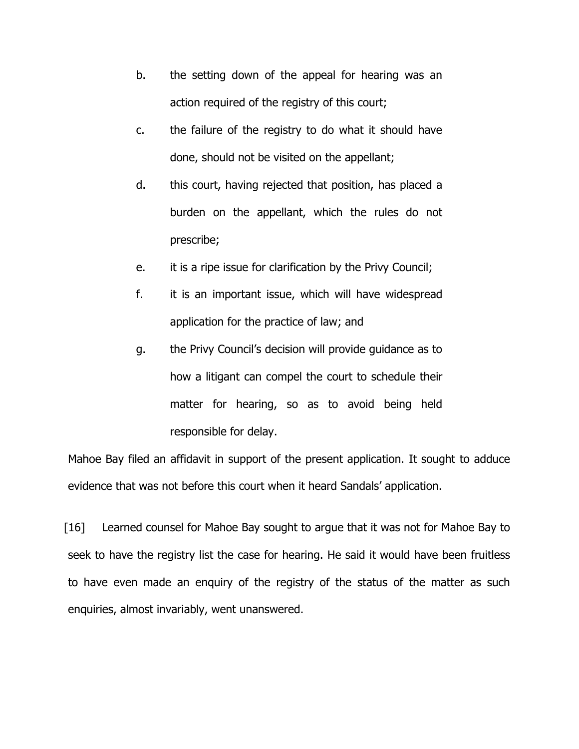- b. the setting down of the appeal for hearing was an action required of the registry of this court;
- c. the failure of the registry to do what it should have done, should not be visited on the appellant;
- d. this court, having rejected that position, has placed a burden on the appellant, which the rules do not prescribe;
- e. it is a ripe issue for clarification by the Privy Council;
- f. it is an important issue, which will have widespread application for the practice of law; and
- g. the Privy Council's decision will provide guidance as to how a litigant can compel the court to schedule their matter for hearing, so as to avoid being held responsible for delay.

Mahoe Bay filed an affidavit in support of the present application. It sought to adduce evidence that was not before this court when it heard Sandals' application.

[16] Learned counsel for Mahoe Bay sought to argue that it was not for Mahoe Bay to seek to have the registry list the case for hearing. He said it would have been fruitless to have even made an enquiry of the registry of the status of the matter as such enquiries, almost invariably, went unanswered.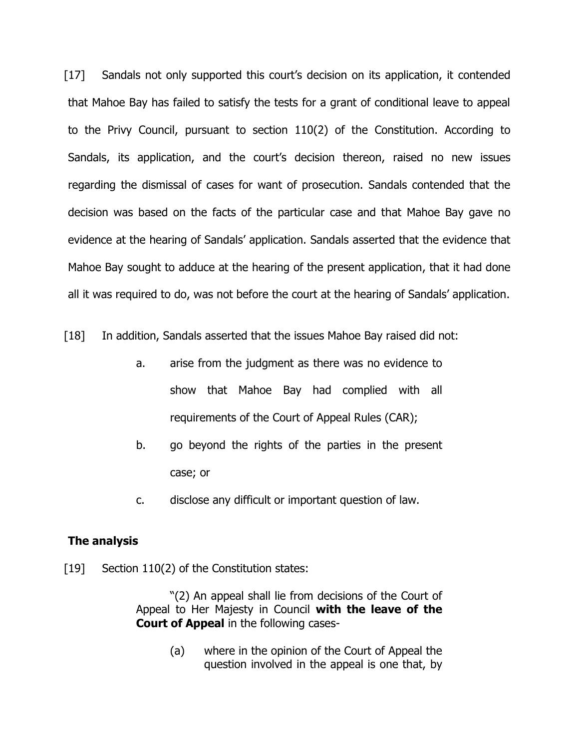[17] Sandals not only supported this court's decision on its application, it contended that Mahoe Bay has failed to satisfy the tests for a grant of conditional leave to appeal to the Privy Council, pursuant to section 110(2) of the Constitution. According to Sandals, its application, and the court's decision thereon, raised no new issues regarding the dismissal of cases for want of prosecution. Sandals contended that the decision was based on the facts of the particular case and that Mahoe Bay gave no evidence at the hearing of Sandals' application. Sandals asserted that the evidence that Mahoe Bay sought to adduce at the hearing of the present application, that it had done all it was required to do, was not before the court at the hearing of Sandals' application.

[18] In addition, Sandals asserted that the issues Mahoe Bay raised did not:

- a. arise from the judgment as there was no evidence to show that Mahoe Bay had complied with all requirements of the Court of Appeal Rules (CAR);
- b. go beyond the rights of the parties in the present case; or
- c. disclose any difficult or important question of law.

# **The analysis**

[19] Section 110(2) of the Constitution states:

 "(2) An appeal shall lie from decisions of the Court of Appeal to Her Majesty in Council **with the leave of the Court of Appeal** in the following cases-

> (a) where in the opinion of the Court of Appeal the question involved in the appeal is one that, by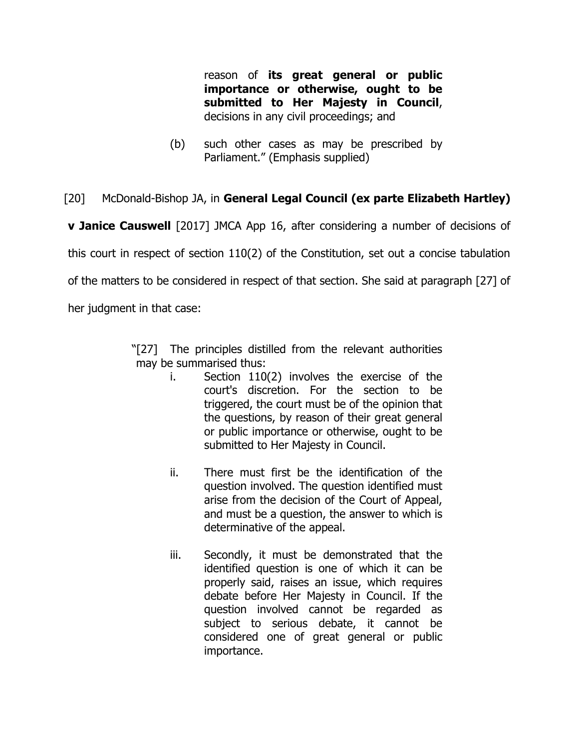reason of **its great general or public importance or otherwise, ought to be submitted to Her Majesty in Council**, decisions in any civil proceedings; and

(b) such other cases as may be prescribed by Parliament." (Emphasis supplied)

# [20] McDonald-Bishop JA, in **General Legal Council (ex parte Elizabeth Hartley)**

**v Janice Causwell** [2017] JMCA App 16, after considering a number of decisions of

this court in respect of section 110(2) of the Constitution, set out a concise tabulation

of the matters to be considered in respect of that section. She said at paragraph [27] of

her judgment in that case:

"[27] The principles distilled from the relevant authorities may be summarised thus:

- i. Section 110(2) involves the exercise of the court's discretion. For the section to be triggered, the court must be of the opinion that the questions, by reason of their great general or public importance or otherwise, ought to be submitted to Her Majesty in Council.
- ii. There must first be the identification of the question involved. The question identified must arise from the decision of the Court of Appeal, and must be a question, the answer to which is determinative of the appeal.
- iii. Secondly, it must be demonstrated that the identified question is one of which it can be properly said, raises an issue, which requires debate before Her Majesty in Council. If the question involved cannot be regarded as subject to serious debate, it cannot be considered one of great general or public importance.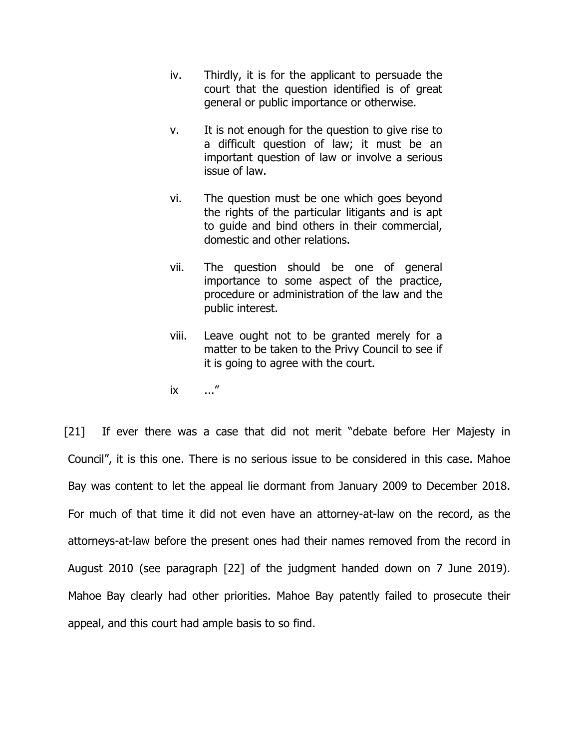- iv. Thirdly, it is for the applicant to persuade the court that the question identified is of great general or public importance or otherwise.
- v. It is not enough for the question to give rise to a difficult question of law; it must be an important question of law or involve a serious issue of law.
- vi. The question must be one which goes beyond the rights of the particular litigants and is apt to guide and bind others in their commercial, domestic and other relations.
- vii. The question should be one of general importance to some aspect of the practice, procedure or administration of the law and the public interest.
- viii. Leave ought not to be granted merely for a matter to be taken to the Privy Council to see if it is going to agree with the court.
- ix ..."

[21] If ever there was a case that did not merit "debate before Her Majesty in Council", it is this one. There is no serious issue to be considered in this case. Mahoe Bay was content to let the appeal lie dormant from January 2009 to December 2018. For much of that time it did not even have an attorney-at-law on the record, as the attorneys-at-law before the present ones had their names removed from the record in August 2010 (see paragraph [22] of the judgment handed down on 7 June 2019). Mahoe Bay clearly had other priorities. Mahoe Bay patently failed to prosecute their appeal, and this court had ample basis to so find.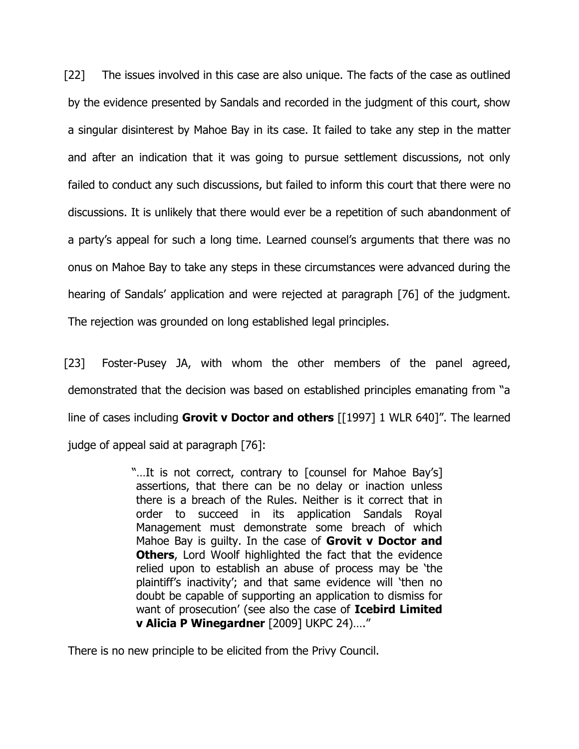[22] The issues involved in this case are also unique. The facts of the case as outlined by the evidence presented by Sandals and recorded in the judgment of this court, show a singular disinterest by Mahoe Bay in its case. It failed to take any step in the matter and after an indication that it was going to pursue settlement discussions, not only failed to conduct any such discussions, but failed to inform this court that there were no discussions. It is unlikely that there would ever be a repetition of such abandonment of a party's appeal for such a long time. Learned counsel's arguments that there was no onus on Mahoe Bay to take any steps in these circumstances were advanced during the hearing of Sandals' application and were rejected at paragraph [76] of the judgment. The rejection was grounded on long established legal principles.

[23] Foster-Pusey JA, with whom the other members of the panel agreed, demonstrated that the decision was based on established principles emanating from "a line of cases including **Grovit v Doctor and others** [[1997] 1 WLR 640]". The learned judge of appeal said at paragraph [76]:

> "…It is not correct, contrary to [counsel for Mahoe Bay's] assertions, that there can be no delay or inaction unless there is a breach of the Rules. Neither is it correct that in order to succeed in its application Sandals Royal Management must demonstrate some breach of which Mahoe Bay is guilty. In the case of **Grovit v Doctor and Others**, Lord Woolf highlighted the fact that the evidence relied upon to establish an abuse of process may be 'the plaintiff's inactivity'; and that same evidence will 'then no doubt be capable of supporting an application to dismiss for want of prosecution' (see also the case of **Icebird Limited v Alicia P Winegardner** [2009] UKPC 24)…."

There is no new principle to be elicited from the Privy Council.